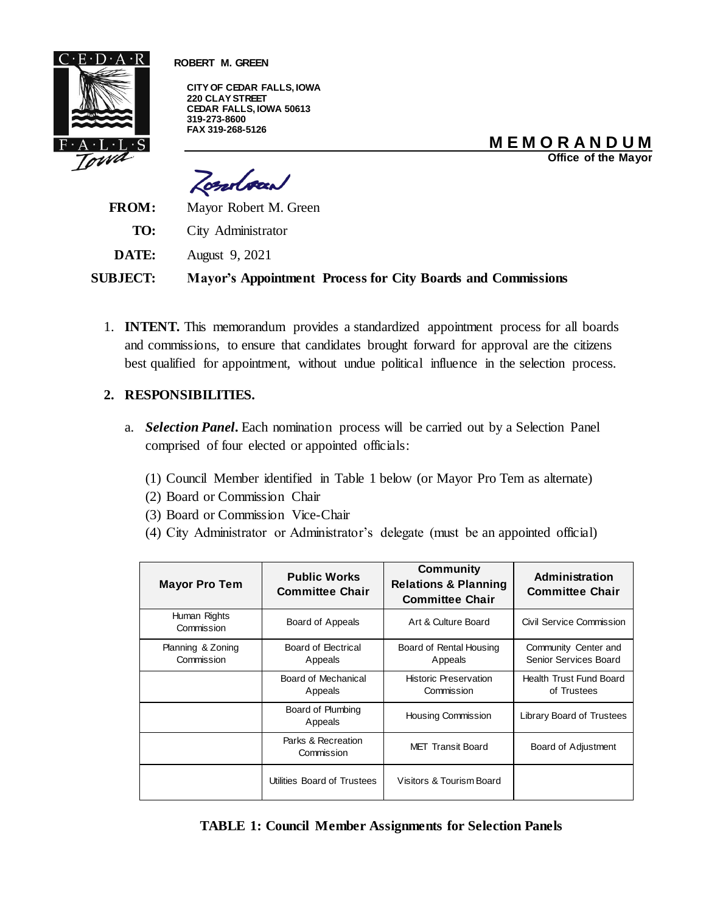

 **ROBERT M. GREEN**

**CITY OF CEDAR FALLS, IOWA 220 CLAY STREET CEDAR FALLS, IOWA 50613 319-273-8600 FAX 319-268-5126**

**M E M O R A N D U M**

**Office of the Mayor**

Zondoad

**FROM:** Mayor Robert M. Green

**TO:** City Administrator

**DATE:** August 9, 2021

**SUBJECT: Mayor's Appointment Process for City Boards and Commissions**

1. **INTENT.** This memorandum provides a standardized appointment process for all boards and commissions, to ensure that candidates brought forward for approval are the citizens best qualified for appointment, without undue political influence in the selection process.

### **2. RESPONSIBILITIES.**

- a. *Selection Panel.* Each nomination process will be carried out by a Selection Panel comprised of four elected or appointed officials:
	- (1) Council Member identified in Table 1 below (or Mayor Pro Tem as alternate)
	- (2) Board or Commission Chair
	- (3) Board or Commission Vice-Chair
	- (4) City Administrator or Administrator's delegate (must be an appointed official)

| <b>Mayor Pro Tem</b>            | <b>Public Works</b><br><b>Committee Chair</b> | <b>Community</b><br><b>Relations &amp; Planning</b><br><b>Committee Chair</b> | <b>Administration</b><br><b>Committee Chair</b> |
|---------------------------------|-----------------------------------------------|-------------------------------------------------------------------------------|-------------------------------------------------|
| Human Rights<br>Commission      | Board of Appeals                              | Art & Culture Board                                                           | Civil Service Commission                        |
| Planning & Zoning<br>Commission | Board of Electrical<br>Appeals                | Board of Rental Housing<br>Appeals                                            | Community Center and<br>Senior Services Board   |
|                                 | Board of Mechanical<br>Appeals                | <b>Historic Preservation</b><br>Commission                                    | <b>Health Trust Fund Board</b><br>of Trustees   |
|                                 | Board of Plumbing<br>Appeals                  | Housing Commission                                                            | Library Board of Trustees                       |
|                                 | Parks & Recreation<br>Commission              | MET Transit Board                                                             | Board of Adjustment                             |
|                                 | Utilities Board of Trustees                   | Visitors & Tourism Board                                                      |                                                 |

**TABLE 1: Council Member Assignments for Selection Panels**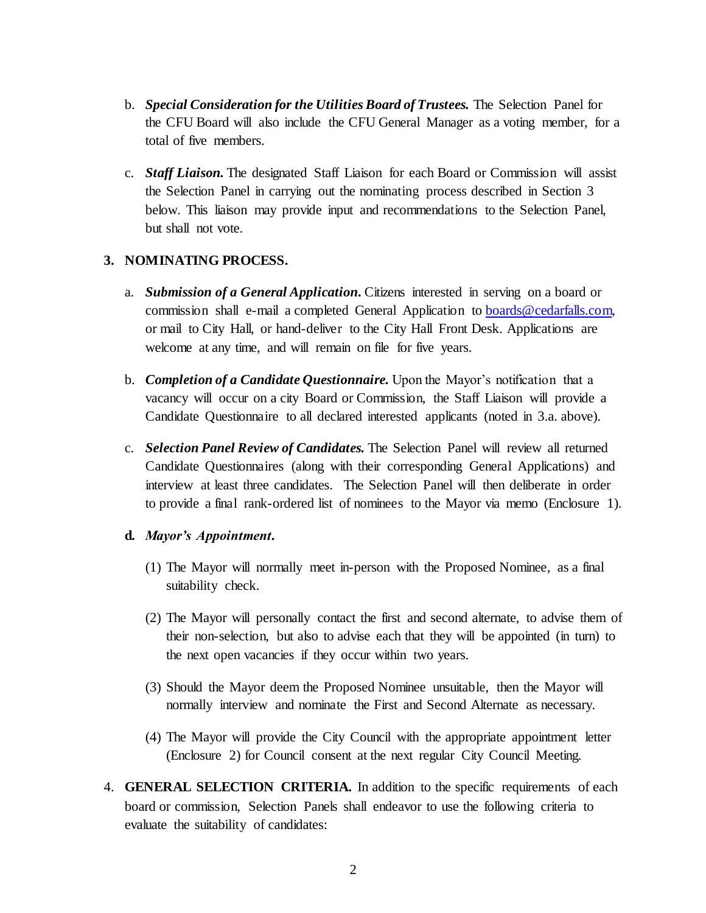- b. *Special Consideration for the Utilities Board of Trustees.* The Selection Panel for the CFU Board will also include the CFU General Manager as a voting member, for a total of five members.
- c. *Staff Liaison.* The designated Staff Liaison for each Board or Commission will assist the Selection Panel in carrying out the nominating process described in Section 3 below. This liaison may provide input and recommendations to the Selection Panel, but shall not vote.

## **3. NOMINATING PROCESS.**

- a. *Submission of a General Application.* Citizens interested in serving on a board or commission shall e-mail a completed General Application t[o boards@cedarfalls.com,](mailto:boards@cedarfalls.com)  or mail to City Hall, or hand-deliver to the City Hall Front Desk. Applications are welcome at any time, and will remain on file for five years.
- b. *Completion of a Candidate Questionnaire.* Upon the Mayor's notification that a vacancy will occur on a city Board or Commission, the Staff Liaison will provide a Candidate Questionnaire to all declared interested applicants (noted in 3.a. above).
- c. *Selection Panel Review of Candidates.* The Selection Panel will review all returned Candidate Questionnaires (along with their corresponding General Applications) and interview at least three candidates. The Selection Panel will then deliberate in order to provide a final rank-ordered list of nominees to the Mayor via memo (Enclosure 1).

### **d.** *Mayor's Appointment.*

- (1) The Mayor will normally meet in-person with the Proposed Nominee, as a final suitability check.
- (2) The Mayor will personally contact the first and second alternate, to advise them of their non-selection, but also to advise each that they will be appointed (in turn) to the next open vacancies if they occur within two years.
- (3) Should the Mayor deem the Proposed Nominee unsuitable, then the Mayor will normally interview and nominate the First and Second Alternate as necessary.
- (4) The Mayor will provide the City Council with the appropriate appointment letter (Enclosure 2) for Council consent at the next regular City Council Meeting.
- 4. **GENERAL SELECTION CRITERIA.** In addition to the specific requirements of each board or commission, Selection Panels shall endeavor to use the following criteria to evaluate the suitability of candidates: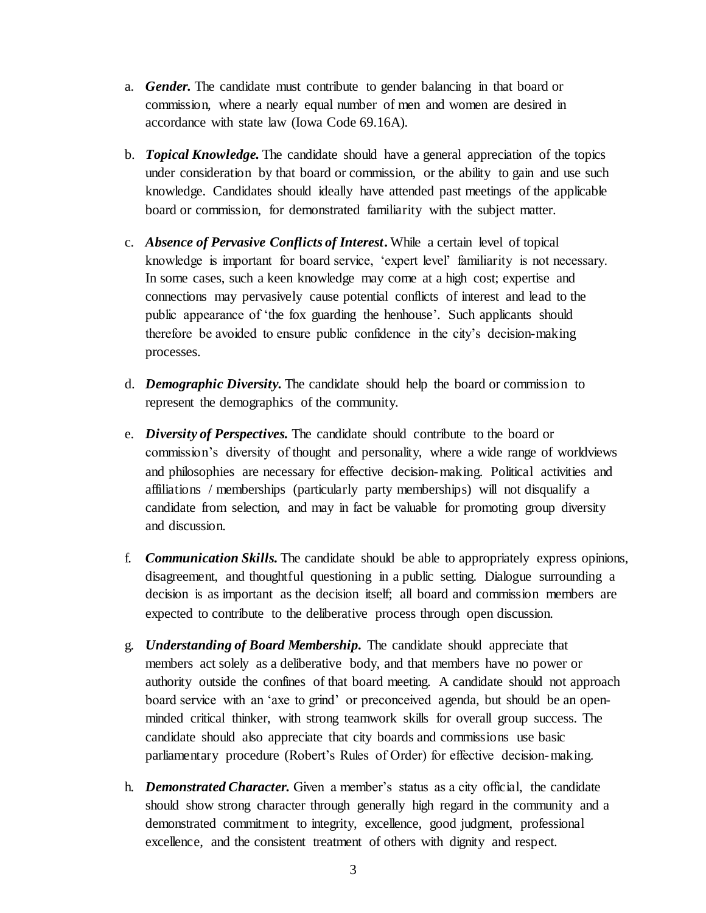- a. *Gender.* The candidate must contribute to gender balancing in that board or commission, where a nearly equal number of men and women are desired in accordance with state law (Iowa Code 69.16A).
- b. *Topical Knowledge.* The candidate should have a general appreciation of the topics under consideration by that board or commission, or the ability to gain and use such knowledge. Candidates should ideally have attended past meetings of the applicable board or commission, for demonstrated familiarity with the subject matter.
- c. *Absence of Pervasive Conflicts of Interest***.** While a certain level of topical knowledge is important for board service, 'expert level' familiarity is not necessary. In some cases, such a keen knowledge may come at a high cost; expertise and connections may pervasively cause potential conflicts of interest and lead to the public appearance of 'the fox guarding the henhouse'. Such applicants should therefore be avoided to ensure public confidence in the city's decision-making processes.
- d. *Demographic Diversity.* The candidate should help the board or commission to represent the demographics of the community.
- e. *Diversity of Perspectives.* The candidate should contribute to the board or commission's diversity of thought and personality, where a wide range of worldviews and philosophies are necessary for effective decision-making. Political activities and affiliations / memberships (particularly party memberships) will not disqualify a candidate from selection, and may in fact be valuable for promoting group diversity and discussion.
- f. *Communication Skills.* The candidate should be able to appropriately express opinions, disagreement, and thoughtful questioning in a public setting. Dialogue surrounding a decision is as important as the decision itself; all board and commission members are expected to contribute to the deliberative process through open discussion.
- g. *Understanding of Board Membership.* The candidate should appreciate that members act solely as a deliberative body, and that members have no power or authority outside the confines of that board meeting. A candidate should not approach board service with an 'axe to grind' or preconceived agenda, but should be an openminded critical thinker, with strong teamwork skills for overall group success. The candidate should also appreciate that city boards and commissions use basic parliamentary procedure (Robert's Rules of Order) for effective decision-making.
- h. *Demonstrated Character.* Given a member's status as a city official, the candidate should show strong character through generally high regard in the community and a demonstrated commitment to integrity, excellence, good judgment, professional excellence, and the consistent treatment of others with dignity and respect.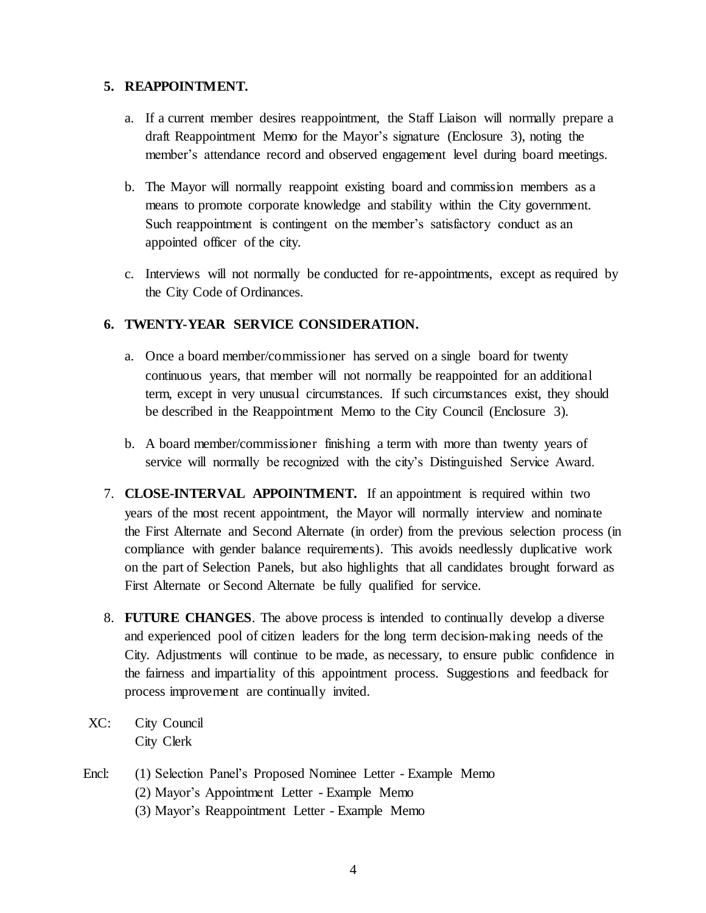### **5. REAPPOINTMENT.**

- a. If a current member desires reappointment, the Staff Liaison will normally prepare a draft Reappointment Memo for the Mayor's signature (Enclosure 3), noting the member's attendance record and observed engagement level during board meetings.
- b. The Mayor will normally reappoint existing board and commission members as a means to promote corporate knowledge and stability within the City government. Such reappointment is contingent on the member's satisfactory conduct as an appointed officer of the city.
- c. Interviews will not normally be conducted for re-appointments, except as required by the City Code of Ordinances.

## **6. TWENTY-YEAR SERVICE CONSIDERATION.**

- a. Once a board member/commissioner has served on a single board for twenty continuous years, that member will not normally be reappointed for an additional term, except in very unusual circumstances. If such circumstances exist, they should be described in the Reappointment Memo to the City Council (Enclosure 3).
- b. A board member/commissioner finishing a term with more than twenty years of service will normally be recognized with the city's Distinguished Service Award.
- 7. **CLOSE-INTERVAL APPOINTMENT.** If an appointment is required within two years of the most recent appointment, the Mayor will normally interview and nominate the First Alternate and Second Alternate (in order) from the previous selection process (in compliance with gender balance requirements). This avoids needlessly duplicative work on the part of Selection Panels, but also highlights that all candidates brought forward as First Alternate or Second Alternate be fully qualified for service.
- 8. **FUTURE CHANGES**. The above process is intended to continually develop a diverse and experienced pool of citizen leaders for the long term decision-making needs of the City. Adjustments will continue to be made, as necessary, to ensure public confidence in the fairness and impartiality of this appointment process. Suggestions and feedback for process improvement are continually invited.
- XC: City Council City Clerk
- Encl: (1) Selection Panel's Proposed Nominee Letter Example Memo (2) Mayor's Appointment Letter - Example Memo (3) Mayor's Reappointment Letter - Example Memo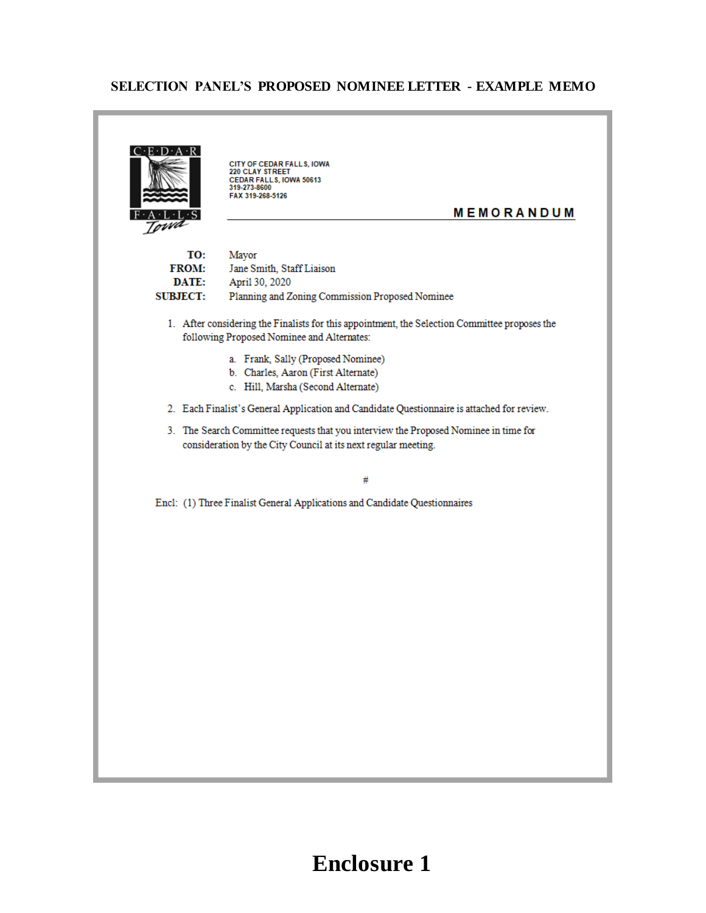## **SELECTION PANEL'S PROPOSED NOMINEE LETTER - EXAMPLE MEMO**

 $C \cdot E \cdot D \cdot A \cdot R$ **CITY OF CEDAR FALLS, IOWA**<br>220 CLAY STREET **CEDAR FALLS, IOWA 50613**<br>319-273-8600 FAX 319-268-5126 **MEMORANDUM**  $\overline{\phantom{a}}$  $F \cdot A \cdot L \cdot$ Towa TO: Mayor **FROM:** Jane Smith, Staff Liaison **DATE:** April 30, 2020 **SUBJECT:** Planning and Zoning Commission Proposed Nominee 1. After considering the Finalists for this appointment, the Selection Committee proposes the following Proposed Nominee and Alternates: a. Frank, Sally (Proposed Nominee) b. Charles, Aaron (First Alternate) c. Hill, Marsha (Second Alternate) 2. Each Finalist's General Application and Candidate Questionnaire is attached for review. 3. The Search Committee requests that you interview the Proposed Nominee in time for consideration by the City Council at its next regular meeting. # Encl: (1) Three Finalist General Applications and Candidate Questionnaires

# 5 **Enclosure 1**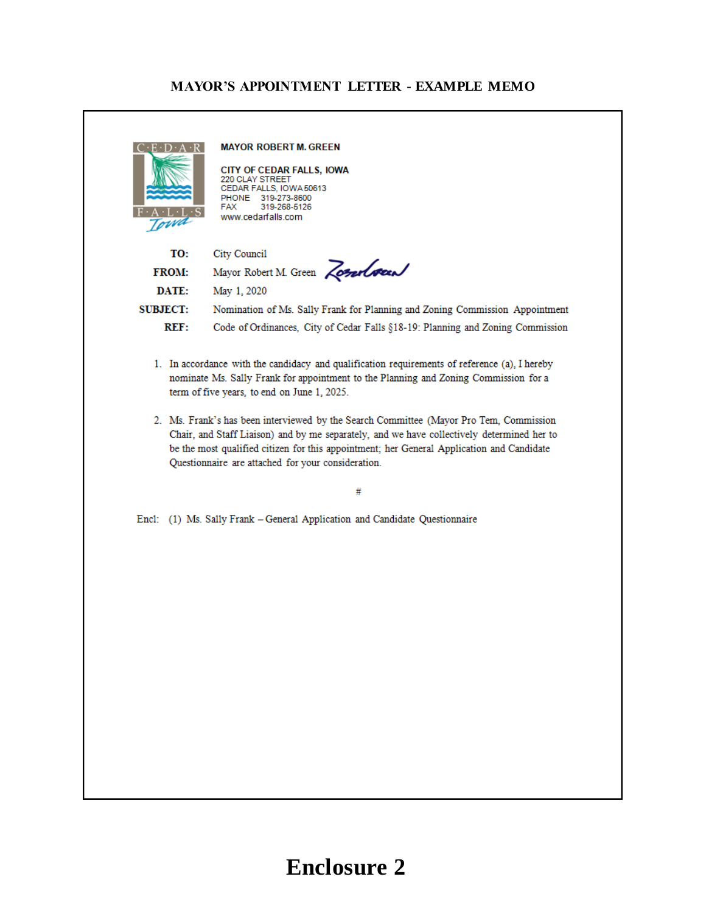## **MAYOR'S APPOINTMENT LETTER - EXAMPLE MEMO**

|                 | <b>MAYOR ROBERT M. GREEN</b><br>CITY OF CEDAR FALLS, IOWA<br>220 CLAY STREET<br>CEDAR FALLS, IOWA 50613<br>PHONE 319-273-8600<br>FAX<br>319-268-5126<br>www.cedarfalls.com                                                                                                                                                                                                                                                                                                                                                                                                      |  |  |
|-----------------|---------------------------------------------------------------------------------------------------------------------------------------------------------------------------------------------------------------------------------------------------------------------------------------------------------------------------------------------------------------------------------------------------------------------------------------------------------------------------------------------------------------------------------------------------------------------------------|--|--|
| TO:             | <b>City Council</b>                                                                                                                                                                                                                                                                                                                                                                                                                                                                                                                                                             |  |  |
| <b>FROM:</b>    | Mayor Robert M. Green Zonelsen                                                                                                                                                                                                                                                                                                                                                                                                                                                                                                                                                  |  |  |
| DATE:           | May 1, 2020                                                                                                                                                                                                                                                                                                                                                                                                                                                                                                                                                                     |  |  |
| <b>SUBJECT:</b> | Nomination of Ms. Sally Frank for Planning and Zoning Commission Appointment                                                                                                                                                                                                                                                                                                                                                                                                                                                                                                    |  |  |
| REF:            | Code of Ordinances, City of Cedar Falls §18-19: Planning and Zoning Commission                                                                                                                                                                                                                                                                                                                                                                                                                                                                                                  |  |  |
|                 | 1. In accordance with the candidacy and qualification requirements of reference (a), I hereby<br>nominate Ms. Sally Frank for appointment to the Planning and Zoning Commission for a<br>term of five years, to end on June 1, 2025.<br>2. Ms. Frank's has been interviewed by the Search Committee (Mayor Pro Tem, Commission<br>Chair, and Staff Liaison) and by me separately, and we have collectively determined her to<br>be the most qualified citizen for this appointment; her General Application and Candidate<br>Questionnaire are attached for your consideration. |  |  |
|                 | #                                                                                                                                                                                                                                                                                                                                                                                                                                                                                                                                                                               |  |  |
|                 | Encl: (1) Ms. Sally Frank - General Application and Candidate Questionnaire                                                                                                                                                                                                                                                                                                                                                                                                                                                                                                     |  |  |
|                 |                                                                                                                                                                                                                                                                                                                                                                                                                                                                                                                                                                                 |  |  |